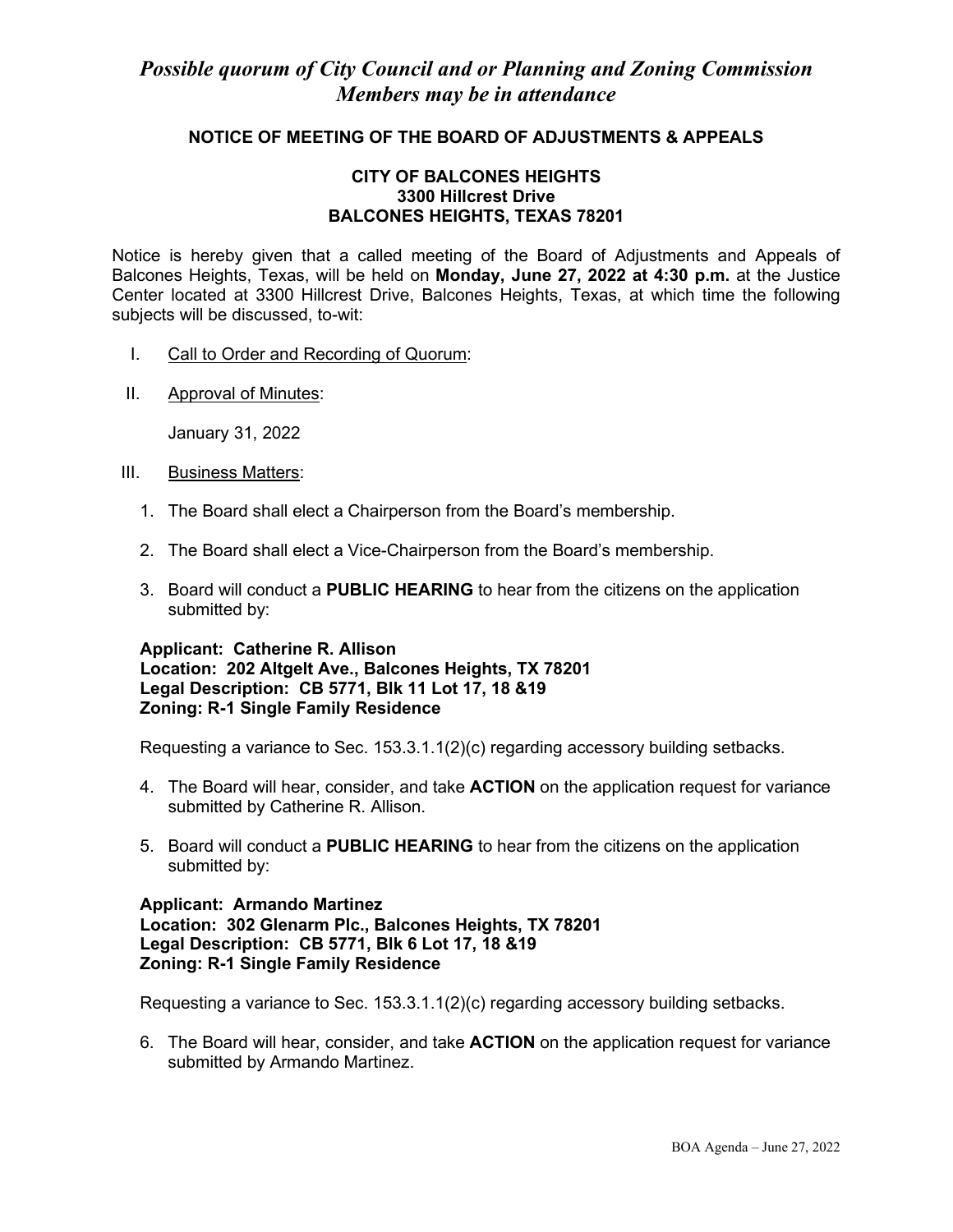# **NOTICE OF MEETING OF THE BOARD OF ADJUSTMENTS & APPEALS**

## **CITY OF BALCONES HEIGHTS 3300 Hillcrest Drive BALCONES HEIGHTS, TEXAS 78201**

Notice is hereby given that a called meeting of the Board of Adjustments and Appeals of Balcones Heights, Texas, will be held on **Monday, June 27, 2022 at 4:30 p.m.** at the Justice Center located at 3300 Hillcrest Drive, Balcones Heights, Texas, at which time the following subjects will be discussed, to-wit:

- I. Call to Order and Recording of Quorum:
- II. Approval of Minutes:

January 31, 2022

- III. Business Matters:
	- 1. The Board shall elect a Chairperson from the Board's membership.
	- 2. The Board shall elect a Vice-Chairperson from the Board's membership.
	- 3. Board will conduct a **PUBLIC HEARING** to hear from the citizens on the application submitted by:

### **Applicant: Catherine R. Allison Location: 202 Altgelt Ave., Balcones Heights, TX 78201 Legal Description: CB 5771, Blk 11 Lot 17, 18 &19 Zoning: R-1 Single Family Residence**

Requesting a variance to Sec. 153.3.1.1(2)(c) regarding accessory building setbacks.

- 4. The Board will hear, consider, and take **ACTION** on the application request for variance submitted by Catherine R. Allison.
- 5. Board will conduct a **PUBLIC HEARING** to hear from the citizens on the application submitted by:

## **Applicant: Armando Martinez Location: 302 Glenarm Plc., Balcones Heights, TX 78201 Legal Description: CB 5771, Blk 6 Lot 17, 18 &19 Zoning: R-1 Single Family Residence**

Requesting a variance to Sec. 153.3.1.1(2)(c) regarding accessory building setbacks.

6. The Board will hear, consider, and take **ACTION** on the application request for variance submitted by Armando Martinez.